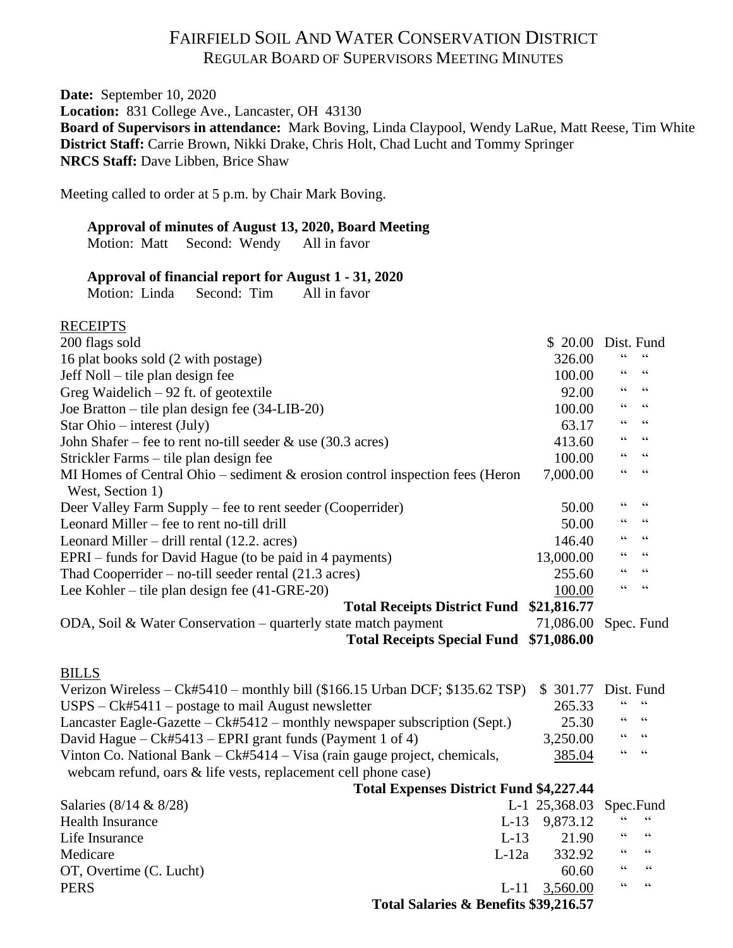## FAIRFIELD SOIL AND WATER CONSERVATION DISTRICT REGULAR BOARD OF SUPERVISORS MEETING MINUTES

**Date:** September 10, 2020 **Location:** 831 College Ave., Lancaster, OH 43130 **Board of Supervisors in attendance:** Mark Boving, Linda Claypool, Wendy LaRue, Matt Reese, Tim White **District Staff:** Carrie Brown, Nikki Drake, Chris Holt, Chad Lucht and Tommy Springer **NRCS Staff:** Dave Libben, Brice Shaw

Meeting called to order at 5 p.m. by Chair Mark Boving.

## **Approval of minutes of August 13, 2020, Board Meeting**

Motion: Matt Second: Wendy All in favor

## **Approval of financial report for August 1 - 31, 2020**

Motion: Linda Second: Tim All in favor

### **RECEIPTS**

| 200 flags sold                                                                  |         | \$20.00       | Dist. Fund       |                          |
|---------------------------------------------------------------------------------|---------|---------------|------------------|--------------------------|
| 16 plat books sold (2 with postage)                                             |         | 326.00        | $\epsilon$       |                          |
| Jeff Noll – tile plan design fee                                                |         | 100.00        | 66               | $\textsf{G}\,\textsf{G}$ |
| Greg Waidelich $-92$ ft. of geotextile                                          |         | 92.00         | 66               | $\textsf{G}\,\textsf{G}$ |
| Joe Bratton – tile plan design fee (34-LIB-20)                                  |         | 100.00        | $\epsilon$       | $\textsf{G}\,\textsf{G}$ |
| Star Ohio $-$ interest (July)                                                   |         | 63.17         | 66               | $\,$ 6 6 $\,$            |
| John Shafer – fee to rent no-till seeder $\&$ use (30.3 acres)                  |         | 413.60        | $\zeta$ $\zeta$  | $\textsf{G}\,\textsf{G}$ |
| Strickler Farms – tile plan design fee                                          |         | 100.00        | 66               | 66                       |
| MI Homes of Central Ohio – sediment $\&$ erosion control inspection fees (Heron |         | 7,000.00      | 66               | $\zeta\,\zeta$           |
| West, Section 1)                                                                |         |               |                  |                          |
| Deer Valley Farm Supply – fee to rent seeder (Cooperrider)                      |         | 50.00         | $\mbox{\bf G}$   | $\textsf{G}\,\textsf{G}$ |
| Leonard Miller – fee to rent no-till drill                                      |         | 50.00         | $\mbox{\bf G}$   | $\zeta \zeta$            |
| Leonard Miller – drill rental (12.2. acres)                                     |         | 146.40        | 66               | $\textsf{G}\,\textsf{G}$ |
| EPRI – funds for David Hague (to be paid in 4 payments)                         |         | 13,000.00     | $\zeta\,\zeta$   | 66                       |
| Thad Cooperrider – no-till seeder rental $(21.3 \text{ acres})$                 |         | 255.60        | 66               | 66                       |
| Lee Kohler – tile plan design fee (41-GRE-20)                                   |         | 100.00        | 66               | $\textsf{G}\,\textsf{G}$ |
| Total Receipts District Fund \$21,816.77                                        |         |               |                  |                          |
| ODA, Soil & Water Conservation – quarterly state match payment                  |         | 71,086.00     |                  | Spec. Fund               |
| Total Receipts Special Fund \$71,086.00                                         |         |               |                  |                          |
| <b>BILLS</b>                                                                    |         |               |                  |                          |
| Verizon Wireless - Ck#5410 - monthly bill (\$166.15 Urban DCF; \$135.62 TSP)    |         | \$ 301.77     |                  | Dist. Fund               |
| $USPS - Ck#5411 - postage$ to mail August newsletter                            |         | 265.33        | 66               | $\mbox{\bf G}$           |
| Lancaster Eagle-Gazette – Ck#5412 – monthly newspaper subscription (Sept.)      |         | 25.30         | 66               | $\textsf{G}\,\textsf{G}$ |
| David Hague – Ck#5413 – EPRI grant funds (Payment 1 of 4)                       |         | 3,250.00      | $\zeta$ $\zeta$  | $\zeta\,\zeta$           |
| Vinton Co. National Bank – Ck#5414 – Visa (rain gauge project, chemicals,       |         | 385.04        | $\zeta \, \zeta$ | $\zeta \zeta$            |
| webcam refund, oars & life vests, replacement cell phone case)                  |         |               |                  |                          |
| <b>Total Expenses District Fund \$4,227.44</b>                                  |         |               |                  |                          |
| Salaries (8/14 & 8/28)                                                          |         | L-1 25,368.03 |                  | Spec.Fund                |
| <b>Health Insurance</b>                                                         | $L-13$  | 9,873.12      | $\epsilon$       | $\zeta$ $\zeta$          |
| Life Insurance                                                                  | $L-13$  | 21.90         | $\epsilon$       | $\mbox{\bf G}$           |
| Medicare                                                                        | $L-12a$ | 332.92        | $\zeta \, \zeta$ | $\zeta \, \zeta$         |
| OT, Overtime (C. Lucht)                                                         |         | 60.60         | $\mbox{\bf G}$   | $\mbox{\bf G}$           |
| <b>PERS</b>                                                                     | $L-11$  | 3,560.00      | $\zeta$ $\zeta$  | $\zeta$ $\zeta$          |
| Total Salaries & Benefits \$39,216.57                                           |         |               |                  |                          |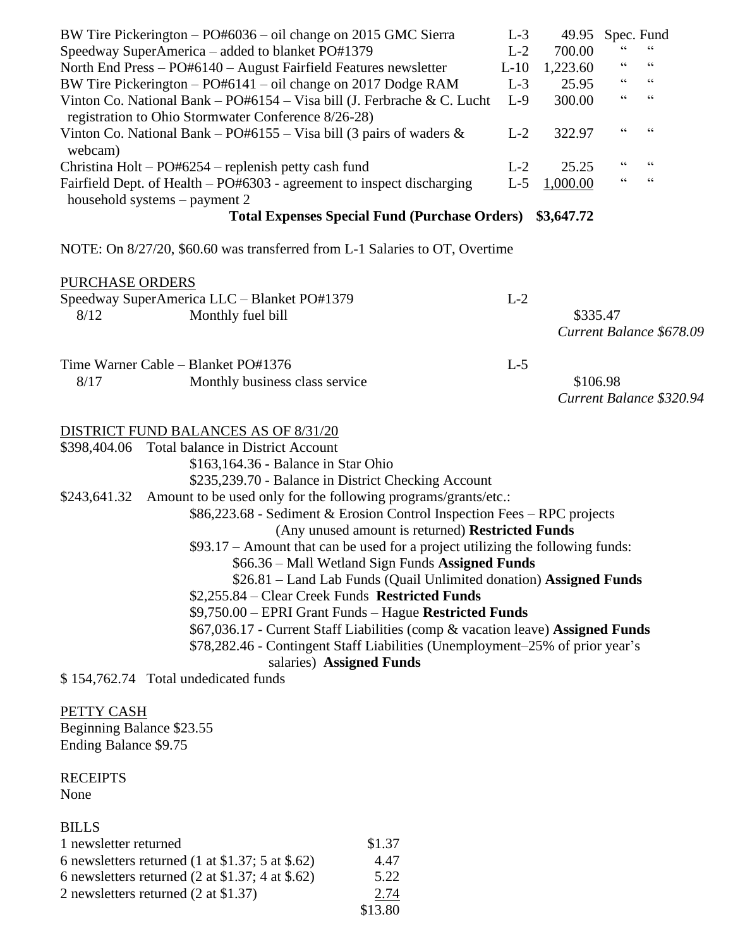|                                                                   | BW Tire Pickerington – PO#6036 – oil change on 2015 GMC Sierra                                                                   | $L-3$ | 49.95      |    | Spec. Fund               |  |
|-------------------------------------------------------------------|----------------------------------------------------------------------------------------------------------------------------------|-------|------------|----|--------------------------|--|
| Speedway SuperAmerica – added to blanket PO#1379                  |                                                                                                                                  |       | 700.00     |    |                          |  |
| North End Press - PO#6140 - August Fairfield Features newsletter  |                                                                                                                                  |       | 1,223.60   |    | $\,$ G G                 |  |
| BW Tire Pickerington $-$ PO#6141 $-$ oil change on 2017 Dodge RAM |                                                                                                                                  |       | 25.95      | 66 | $\textsf{G}\,\textsf{G}$ |  |
|                                                                   | Vinton Co. National Bank – $PO#6154 - Visa bill$ (J. Ferbrache & C. Lucht<br>registration to Ohio Stormwater Conference 8/26-28) | $L-9$ | 300.00     | 66 | $\zeta$ $\zeta$          |  |
| webcam)                                                           | Vinton Co. National Bank – PO#6155 – Visa bill (3 pairs of waders $\&$                                                           | $L-2$ | 322.97     | 66 | $\textsf{G}\,\textsf{G}$ |  |
|                                                                   | Christina Holt – $PO#6254$ – replenish petty cash fund                                                                           | $L-2$ | 25.25      | 66 | $\textsf{G}\,\textsf{G}$ |  |
|                                                                   | Fairfield Dept. of Health – PO#6303 - agreement to inspect discharging<br>household systems – payment 2                          | $L-5$ | 1,000.00   | 66 | $\textsf{G}\,\textsf{G}$ |  |
|                                                                   | <b>Total Expenses Special Fund (Purchase Orders)</b>                                                                             |       | \$3,647.72 |    |                          |  |
|                                                                   |                                                                                                                                  |       |            |    |                          |  |
|                                                                   | NOTE: On 8/27/20, \$60.60 was transferred from L-1 Salaries to OT, Overtime                                                      |       |            |    |                          |  |
| <b>PURCHASE ORDERS</b>                                            |                                                                                                                                  |       |            |    |                          |  |
|                                                                   | Speedway SuperAmerica LLC - Blanket PO#1379                                                                                      | $L-2$ |            |    |                          |  |
| 8/12                                                              | Monthly fuel bill                                                                                                                |       | \$335.47   |    |                          |  |
|                                                                   |                                                                                                                                  |       |            |    | Current Balance \$678.09 |  |
|                                                                   | Time Warner Cable – Blanket PO#1376                                                                                              | $L-5$ |            |    |                          |  |
| 8/17                                                              | Monthly business class service                                                                                                   |       | \$106.98   |    |                          |  |
|                                                                   |                                                                                                                                  |       |            |    | Current Balance \$320.94 |  |
|                                                                   |                                                                                                                                  |       |            |    |                          |  |
|                                                                   | <b>DISTRICT FUND BALANCES AS OF 8/31/20</b>                                                                                      |       |            |    |                          |  |
|                                                                   | \$398,404.06 Total balance in District Account                                                                                   |       |            |    |                          |  |
|                                                                   | \$163,164.36 - Balance in Star Ohio                                                                                              |       |            |    |                          |  |
|                                                                   | \$235,239.70 - Balance in District Checking Account                                                                              |       |            |    |                          |  |
|                                                                   | \$243,641.32 Amount to be used only for the following programs/grants/etc.:                                                      |       |            |    |                          |  |
|                                                                   | \$86,223.68 - Sediment & Erosion Control Inspection Fees - RPC projects                                                          |       |            |    |                          |  |
|                                                                   | (Any unused amount is returned) Restricted Funds                                                                                 |       |            |    |                          |  |
|                                                                   | \$93.17 – Amount that can be used for a project utilizing the following funds:                                                   |       |            |    |                          |  |
|                                                                   | \$66.36 – Mall Wetland Sign Funds Assigned Funds                                                                                 |       |            |    |                          |  |
|                                                                   | \$26.81 - Land Lab Funds (Quail Unlimited donation) Assigned Funds                                                               |       |            |    |                          |  |
|                                                                   | \$2,255.84 – Clear Creek Funds Restricted Funds                                                                                  |       |            |    |                          |  |
|                                                                   | \$9,750.00 - EPRI Grant Funds - Hague Restricted Funds                                                                           |       |            |    |                          |  |
|                                                                   | \$67,036.17 - Current Staff Liabilities (comp & vacation leave) Assigned Funds                                                   |       |            |    |                          |  |
|                                                                   | \$78,282.46 - Contingent Staff Liabilities (Unemployment-25% of prior year's                                                     |       |            |    |                          |  |
|                                                                   | salaries) Assigned Funds                                                                                                         |       |            |    |                          |  |
|                                                                   | \$154,762.74 Total undedicated funds                                                                                             |       |            |    |                          |  |
| PETTY CASH                                                        |                                                                                                                                  |       |            |    |                          |  |
| Beginning Balance \$23.55                                         |                                                                                                                                  |       |            |    |                          |  |

Beginning Balance \$23.55 Ending Balance \$9.75

**RECEIPTS** None

## BILLS

| 1 newsletter returned                                              | \$1.37  |
|--------------------------------------------------------------------|---------|
| 6 newsletters returned (1 at $$1.37$ ; 5 at $$.62$ )               | 4.47    |
| 6 newsletters returned $(2 \text{ at } $1.37; 4 \text{ at } $.62)$ | 5.22    |
| 2 newsletters returned (2 at \$1.37)                               | 2.74    |
|                                                                    | \$13.80 |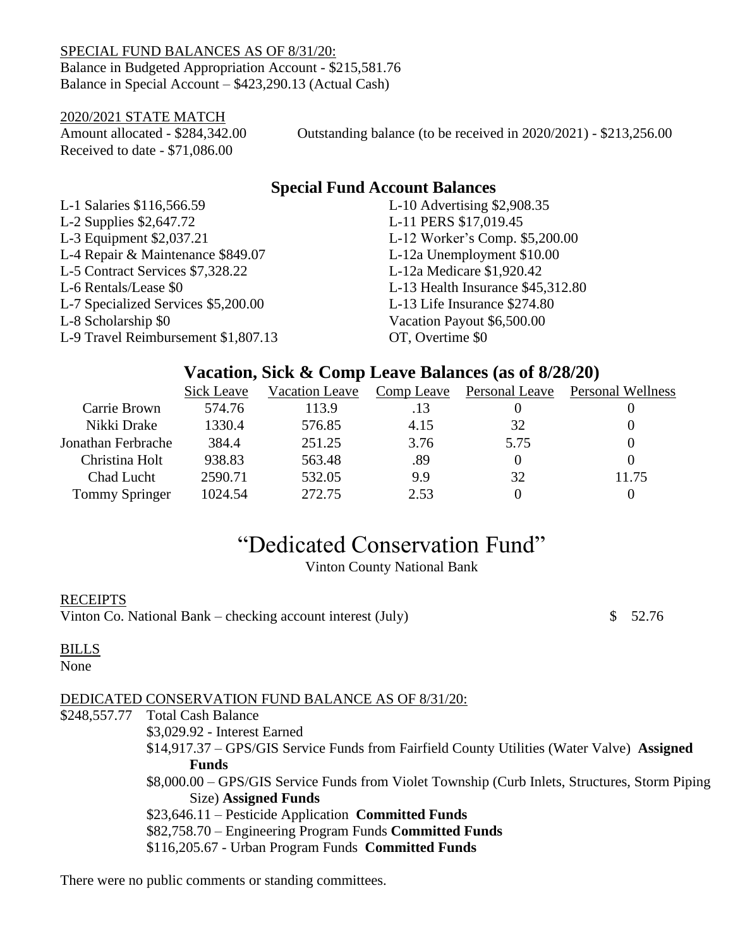SPECIAL FUND BALANCES AS OF 8/31/20: Balance in Budgeted Appropriation Account - \$215,581.76 Balance in Special Account – \$423,290.13 (Actual Cash)

2020/2021 STATE MATCH Received to date - \$71,086.00

Amount allocated - \$284,342.00 Outstanding balance (to be received in 2020/2021) - \$213,256.00

# **Special Fund Account Balances**

| L-1 Salaries \$116,566.59           | L-10 Advertising \$2,908.35       |
|-------------------------------------|-----------------------------------|
| L-2 Supplies $$2,647.72$            | L-11 PERS \$17,019.45             |
| L-3 Equipment \$2,037.21            | L-12 Worker's Comp. \$5,200.00    |
| L-4 Repair & Maintenance \$849.07   | L-12a Unemployment \$10.00        |
| L-5 Contract Services \$7,328.22    | L-12a Medicare \$1,920.42         |
| L-6 Rentals/Lease \$0               | L-13 Health Insurance \$45,312.80 |
| L-7 Specialized Services \$5,200.00 | L-13 Life Insurance \$274.80      |
| L-8 Scholarship \$0                 | Vacation Payout \$6,500.00        |
| L-9 Travel Reimbursement \$1,807.13 | OT, Overtime \$0                  |

## **Vacation, Sick & Comp Leave Balances (as of 8/28/20)**

|                       | Sick Leave | Vacation Leave |      | Comp Leave Personal Leave | Personal Wellness |
|-----------------------|------------|----------------|------|---------------------------|-------------------|
| Carrie Brown          | 574.76     | 113.9          | .13  |                           |                   |
| Nikki Drake           | 1330.4     | 576.85         | 4.15 | 32                        |                   |
| Jonathan Ferbrache    | 384.4      | 251.25         | 3.76 | 5.75                      |                   |
| Christina Holt        | 938.83     | 563.48         | .89  |                           |                   |
| Chad Lucht            | 2590.71    | 532.05         | 9.9  | 32                        | 11.75             |
| <b>Tommy Springer</b> | 1024.54    | 272.75         | 2.53 |                           |                   |

# "Dedicated Conservation Fund"

Vinton County National Bank

## **RECEIPTS**

Vinton Co. National Bank – checking account interest (July)  $$52.76$ 

### BILLS

None

## DEDICATED CONSERVATION FUND BALANCE AS OF 8/31/20:

\$248,557.77 Total Cash Balance

\$3,029.92 - Interest Earned

- \$14,917.37 GPS/GIS Service Funds from Fairfield County Utilities (Water Valve) **Assigned Funds**
- \$8,000.00 GPS/GIS Service Funds from Violet Township (Curb Inlets, Structures, Storm Piping Size) **Assigned Funds**
- \$23,646.11 Pesticide Application **Committed Funds**
- \$82,758.70 Engineering Program Funds **Committed Funds**

\$116,205.67 - Urban Program Funds **Committed Funds**

There were no public comments or standing committees.